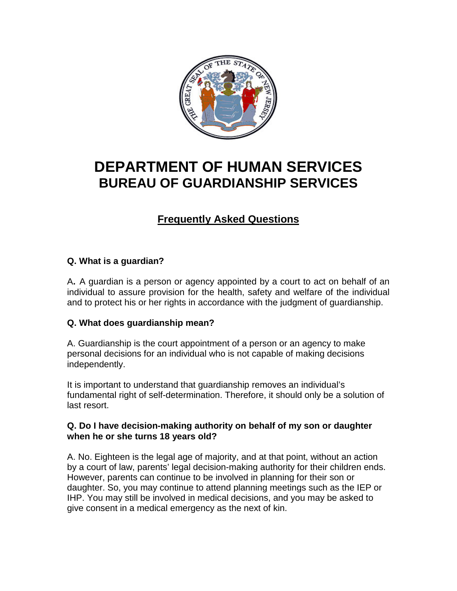

# **DEPARTMENT OF HUMAN SERVICES BUREAU OF GUARDIANSHIP SERVICES**

# **Frequently Asked Questions**

# **Q. What is a guardian?**

A**.** A guardian is a person or agency appointed by a court to act on behalf of an individual to assure provision for the health, safety and welfare of the individual and to protect his or her rights in accordance with the judgment of guardianship.

# **Q. What does guardianship mean?**

A. Guardianship is the court appointment of a person or an agency to make personal decisions for an individual who is not capable of making decisions independently.

It is important to understand that guardianship removes an individual's fundamental right of self-determination. Therefore, it should only be a solution of last resort.

#### **Q. Do I have decision-making authority on behalf of my son or daughter when he or she turns 18 years old?**

A. No. Eighteen is the legal age of majority, and at that point, without an action by a court of law, parents' legal decision-making authority for their children ends. However, parents can continue to be involved in planning for their son or daughter. So, you may continue to attend planning meetings such as the IEP or IHP. You may still be involved in medical decisions, and you may be asked to give consent in a medical emergency as the next of kin.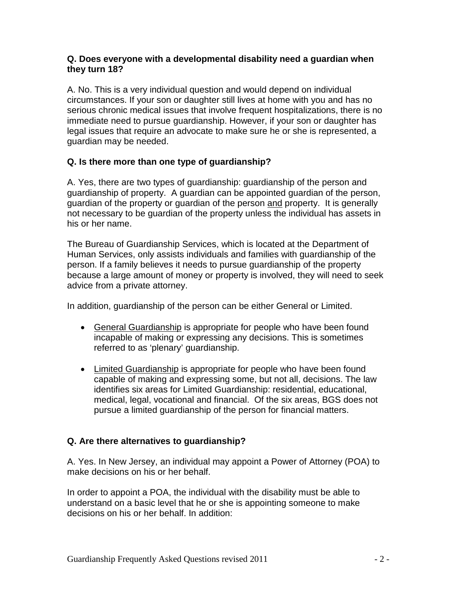#### **Q. Does everyone with a developmental disability need a guardian when they turn 18?**

A. No. This is a very individual question and would depend on individual circumstances. If your son or daughter still lives at home with you and has no serious chronic medical issues that involve frequent hospitalizations, there is no immediate need to pursue guardianship. However, if your son or daughter has legal issues that require an advocate to make sure he or she is represented, a guardian may be needed.

# **Q. Is there more than one type of guardianship?**

A. Yes, there are two types of guardianship: guardianship of the person and guardianship of property. A guardian can be appointed guardian of the person, guardian of the property or guardian of the person and property. It is generally not necessary to be guardian of the property unless the individual has assets in his or her name.

The Bureau of Guardianship Services, which is located at the Department of Human Services, only assists individuals and families with guardianship of the person. If a family believes it needs to pursue guardianship of the property because a large amount of money or property is involved, they will need to seek advice from a private attorney.

In addition, guardianship of the person can be either General or Limited.

- General Guardianship is appropriate for people who have been found incapable of making or expressing any decisions. This is sometimes referred to as 'plenary' guardianship.
- Limited Guardianship is appropriate for people who have been found capable of making and expressing some, but not all, decisions. The law identifies six areas for Limited Guardianship: residential, educational, medical, legal, vocational and financial. Of the six areas, BGS does not pursue a limited guardianship of the person for financial matters.

# **Q. Are there alternatives to guardianship?**

A. Yes. In New Jersey, an individual may appoint a Power of Attorney (POA) to make decisions on his or her behalf.

In order to appoint a POA, the individual with the disability must be able to understand on a basic level that he or she is appointing someone to make decisions on his or her behalf. In addition: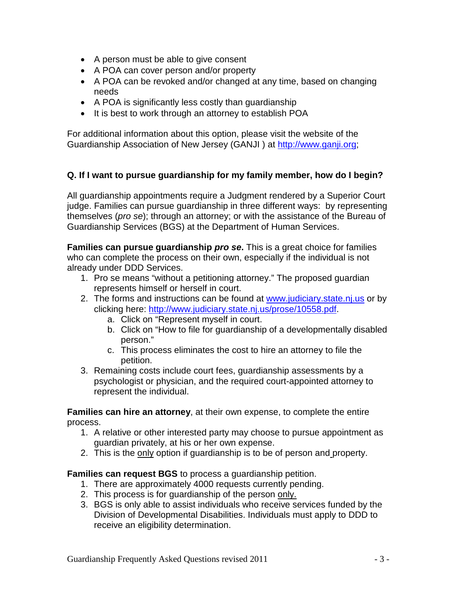- A person must be able to give consent
- A POA can cover person and/or property
- A POA can be revoked and/or changed at any time, based on changing needs
- A POA is significantly less costly than guardianship
- It is best to work through an attorney to establish POA

For additional information about this option, please visit the website of the Guardianship Association of New Jersey (GANJI ) at [http://www.ganji.org;](http://www.ganji.org/)

# **Q. If I want to pursue guardianship for my family member, how do I begin?**

All guardianship appointments require a Judgment rendered by a Superior Court judge. Families can pursue guardianship in three different ways: by representing themselves (*pro se*); through an attorney; or with the assistance of the Bureau of Guardianship Services (BGS) at the Department of Human Services.

**Families can pursue guardianship** *pro se***.** This is a great choice for families who can complete the process on their own, especially if the individual is not already under DDD Services.

- 1. Pro se means "without a petitioning attorney." The proposed guardian represents himself or herself in court.
- 2. The forms and instructions can be found at [www.judiciary.state.nj.us](http://www.judiciary.state.nj.us/) or by clicking here: [http://www.judiciary.state.nj.us/prose/10558.pdf.](http://www.judiciary.state.nj.us/prose/10558.pdf)
	- a. Click on "Represent myself in court.
	- b. Click on "How to file for guardianship of a developmentally disabled person."
	- c. This process eliminates the cost to hire an attorney to file the petition.
- 3. Remaining costs include court fees, guardianship assessments by a psychologist or physician, and the required court-appointed attorney to represent the individual.

**Families can hire an attorney**, at their own expense, to complete the entire process.

- 1. A relative or other interested party may choose to pursue appointment as guardian privately, at his or her own expense.
- 2. This is the only option if guardianship is to be of person and property.

#### **Families can request BGS** to process a guardianship petition.

- 1. There are approximately 4000 requests currently pending.
- 2. This process is for guardianship of the person only.
- 3. BGS is only able to assist individuals who receive services funded by the Division of Developmental Disabilities. Individuals must apply to DDD to receive an eligibility determination.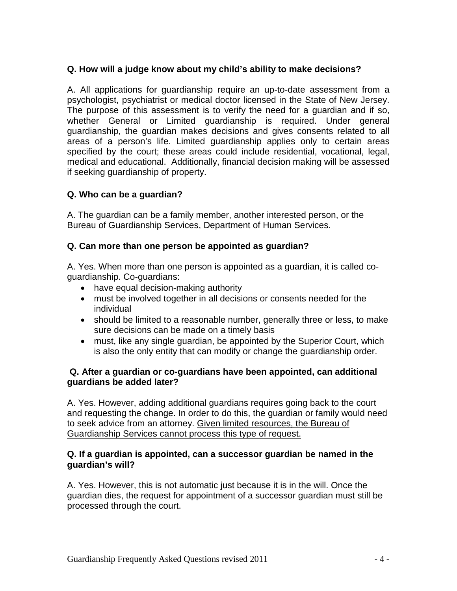# **Q. How will a judge know about my child's ability to make decisions?**

A. All applications for guardianship require an up-to-date assessment from a psychologist, psychiatrist or medical doctor licensed in the State of New Jersey. The purpose of this assessment is to verify the need for a guardian and if so, whether General or Limited guardianship is required. Under general guardianship, the guardian makes decisions and gives consents related to all areas of a person's life. Limited guardianship applies only to certain areas specified by the court; these areas could include residential, vocational, legal, medical and educational. Additionally, financial decision making will be assessed if seeking guardianship of property.

#### **Q. Who can be a guardian?**

A. The guardian can be a family member, another interested person, or the Bureau of Guardianship Services, Department of Human Services.

#### **Q. Can more than one person be appointed as guardian?**

A. Yes. When more than one person is appointed as a guardian, it is called coguardianship. Co-guardians:

- have equal decision-making authority
- must be involved together in all decisions or consents needed for the individual
- should be limited to a reasonable number, generally three or less, to make sure decisions can be made on a timely basis
- must, like any single guardian, be appointed by the Superior Court, which is also the only entity that can modify or change the guardianship order.

#### **Q. After a guardian or co-guardians have been appointed, can additional guardians be added later?**

A. Yes. However, adding additional guardians requires going back to the court and requesting the change. In order to do this, the guardian or family would need to seek advice from an attorney. Given limited resources, the Bureau of Guardianship Services cannot process this type of request.

#### **Q. If a guardian is appointed, can a successor guardian be named in the guardian's will?**

A. Yes. However, this is not automatic just because it is in the will. Once the guardian dies, the request for appointment of a successor guardian must still be processed through the court.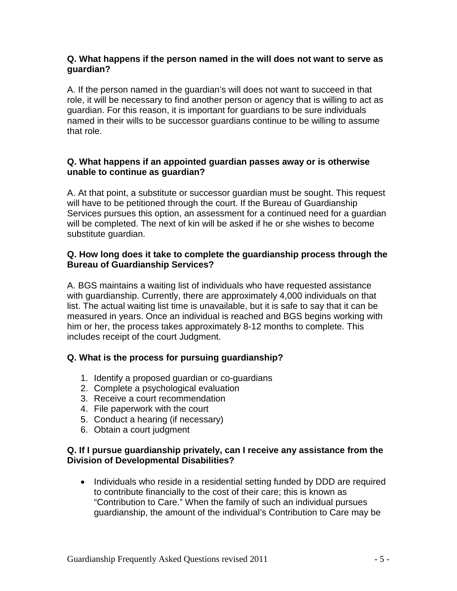#### **Q. What happens if the person named in the will does not want to serve as guardian?**

A. If the person named in the guardian's will does not want to succeed in that role, it will be necessary to find another person or agency that is willing to act as guardian. For this reason, it is important for guardians to be sure individuals named in their wills to be successor guardians continue to be willing to assume that role.

#### **Q. What happens if an appointed guardian passes away or is otherwise unable to continue as guardian?**

A. At that point, a substitute or successor guardian must be sought. This request will have to be petitioned through the court. If the Bureau of Guardianship Services pursues this option, an assessment for a continued need for a guardian will be completed. The next of kin will be asked if he or she wishes to become substitute guardian.

### **Q. How long does it take to complete the guardianship process through the Bureau of Guardianship Services?**

A. BGS maintains a waiting list of individuals who have requested assistance with guardianship. Currently, there are approximately 4,000 individuals on that list. The actual waiting list time is unavailable, but it is safe to say that it can be measured in years. Once an individual is reached and BGS begins working with him or her, the process takes approximately 8-12 months to complete. This includes receipt of the court Judgment.

# **Q. What is the process for pursuing guardianship?**

- 1. Identify a proposed guardian or co-guardians
- 2. Complete a psychological evaluation
- 3. Receive a court recommendation
- 4. File paperwork with the court
- 5. Conduct a hearing (if necessary)
- 6. Obtain a court judgment

#### **Q. If I pursue guardianship privately, can I receive any assistance from the Division of Developmental Disabilities?**

• Individuals who reside in a residential setting funded by DDD are required to contribute financially to the cost of their care; this is known as "Contribution to Care." When the family of such an individual pursues guardianship, the amount of the individual's Contribution to Care may be